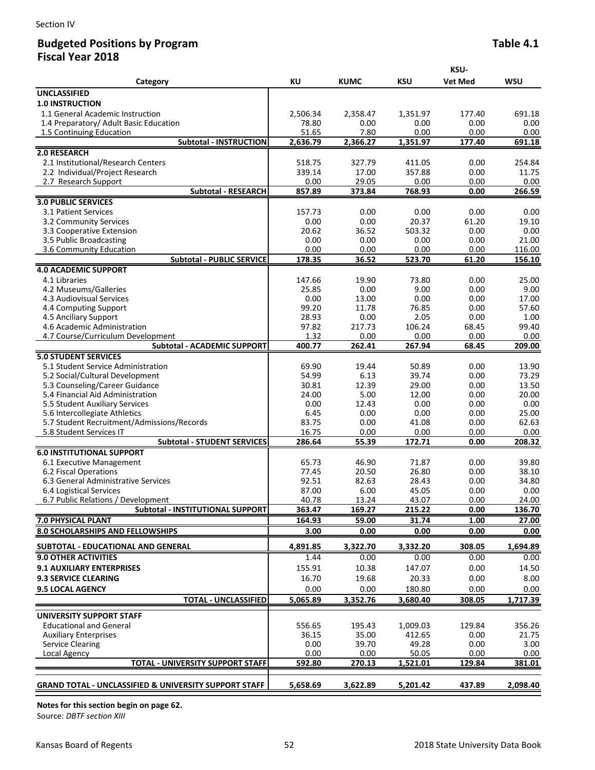## **Budgeted Positions by Program**  Table 4.1 **Fiscal Year 2018**

|                                                                  |                 |                | KSU-               |                |                 |  |
|------------------------------------------------------------------|-----------------|----------------|--------------------|----------------|-----------------|--|
| Category                                                         | KU              | <b>KUMC</b>    | KSU                | <b>Vet Med</b> | WSU             |  |
| <b>UNCLASSIFIED</b>                                              |                 |                |                    |                |                 |  |
| <b>1.0 INSTRUCTION</b>                                           |                 |                |                    |                |                 |  |
| 1.1 General Academic Instruction                                 | 2,506.34        | 2,358.47       | 1,351.97           | 177.40         | 691.18          |  |
| 1.4 Preparatory/ Adult Basic Education                           | 78.80           | 0.00           | 0.00               | 0.00           | 0.00            |  |
| 1.5 Continuing Education                                         | 51.65           | 7.80           | 0.00               | 0.00           | 0.00            |  |
| <b>Subtotal - INSTRUCTION</b>                                    | 2,636.79        | 2,366.27       | 1,351.97           | 177.40         | 691.18          |  |
| 2.0 RESEARCH                                                     |                 |                |                    |                |                 |  |
| 2.1 Institutional/Research Centers                               | 518.75          | 327.79         | 411.05             | 0.00           | 254.84          |  |
| 2.2 Individual/Project Research<br>2.7 Research Support          | 339.14<br>0.00  | 17.00<br>29.05 | 357.88<br>0.00     | 0.00<br>0.00   | 11.75<br>0.00   |  |
| <b>Subtotal - RESEARCH</b>                                       | 857.89          | 373.84         | 768.93             | 0.00           | 266.59          |  |
| <b>3.0 PUBLIC SERVICES</b>                                       |                 |                |                    |                |                 |  |
| 3.1 Patient Services                                             | 157.73          | 0.00           | 0.00               | 0.00           | 0.00            |  |
| 3.2 Community Services                                           | 0.00            | 0.00           | 20.37              | 61.20          | 19.10           |  |
| 3.3 Cooperative Extension                                        | 20.62           | 36.52          | 503.32             | 0.00           | 0.00            |  |
| 3.5 Public Broadcasting                                          | 0.00            | 0.00           | 0.00               | 0.00           | 21.00           |  |
| 3.6 Community Education                                          | 0.00            | 0.00           | 0.00               | 0.00           | 116.00          |  |
| <b>Subtotal - PUBLIC SERVICE</b>                                 | 178.35          | 36.52          | 523.70             | 61.20          | 156.10          |  |
| <b>4.0 ACADEMIC SUPPORT</b>                                      |                 |                |                    |                |                 |  |
| 4.1 Libraries                                                    | 147.66          | 19.90          | 73.80              | 0.00           | 25.00           |  |
| 4.2 Museums/Galleries                                            | 25.85           | 0.00           | 9.00               | 0.00           | 9.00            |  |
| 4.3 Audiovisual Services                                         | 0.00<br>99.20   | 13.00          | 0.00<br>76.85      | 0.00<br>0.00   | 17.00           |  |
| 4.4 Computing Support<br>4.5 Anciliary Support                   | 28.93           | 11.78<br>0.00  | 2.05               | 0.00           | 57.60<br>1.00   |  |
| 4.6 Academic Administration                                      | 97.82           | 217.73         | 106.24             | 68.45          | 99.40           |  |
| 4.7 Course/Curriculum Development                                | 1.32            | 0.00           | 0.00               | 0.00           | 0.00            |  |
| <b>Subtotal - ACADEMIC SUPPORT</b>                               | 400.77          | 262.41         | 267.94             | 68.45          | 209.00          |  |
| <b>5.0 STUDENT SERVICES</b>                                      |                 |                |                    |                |                 |  |
| 5.1 Student Service Administration                               | 69.90           | 19.44          | 50.89              | 0.00           | 13.90           |  |
| 5.2 Social/Cultural Development                                  | 54.99           | 6.13           | 39.74              | 0.00           | 73.29           |  |
| 5.3 Counseling/Career Guidance                                   | 30.81           | 12.39          | 29.00              | 0.00           | 13.50           |  |
| 5.4 Financial Aid Administration                                 | 24.00           | 5.00           | 12.00              | 0.00           | 20.00           |  |
| 5.5 Student Auxiliary Services                                   | 0.00            | 12.43          | 0.00               | 0.00           | 0.00            |  |
| 5.6 Intercollegiate Athletics                                    | 6.45            | 0.00           | 0.00               | 0.00           | 25.00           |  |
| 5.7 Student Recruitment/Admissions/Records                       | 83.75           | 0.00           | 41.08              | 0.00           | 62.63           |  |
| 5.8 Student Services IT<br><b>Subtotal - STUDENT SERVICES</b>    | 16.75           | 0.00           | 0.00               | 0.00           | 0.00            |  |
| <b>6.0 INSTITUTIONAL SUPPORT</b>                                 | 286.64          | 55.39          | 172.71             | 0.00           | 208.32          |  |
| 6.1 Executive Management                                         | 65.73           | 46.90          | 71.87              | 0.00           | 39.80           |  |
| 6.2 Fiscal Operations                                            | 77.45           | 20.50          | 26.80              | 0.00           | 38.10           |  |
| 6.3 General Administrative Services                              | 92.51           | 82.63          | 28.43              | 0.00           | 34.80           |  |
| 6.4 Logistical Services                                          | 87.00           | 6.00           | 45.05              | 0.00           | 0.00            |  |
| 6.7 Public Relations / Development                               | 40.78           | 13.24          | 43.07              | 0.00           | 24.00           |  |
| Subtotal - INSTITUTIONAL SUPPORT                                 | 363.47          | 169.27         | 215.22             | 0.00           | 136.70          |  |
| 7.0 PHYSICAL PLANT                                               | 164.93          | 59.00          | 31.74              | 1.00           | 27.00           |  |
| 8.0 SCHOLARSHIPS AND FELLOWSHIPS                                 | 3.00            | 0.00           | 0.00               | 0.00           | 0.00            |  |
| SUBTOTAL - EDUCATIONAL AND GENERAL                               | 4,891.85        | 3,322.70       | 3,332.20           | 308.05         | 1,694.89        |  |
| <b>9.0 OTHER ACTIVITIES</b>                                      | 1.44            | 0.00           | 0.00               | 0.00           | 0.00            |  |
| <b>9.1 AUXILIARY ENTERPRISES</b>                                 | 155.91          | 10.38          | 147.07             | 0.00           | 14.50           |  |
| <b>9.3 SERVICE CLEARING</b>                                      | 16.70           | 19.68          | 20.33              | 0.00           | 8.00            |  |
| <b>9.5 LOCAL AGENCY</b>                                          | 0.00            | 0.00           | 180.80             | 0.00           | 0.00            |  |
| <b>TOTAL - UNCLASSIFIED</b>                                      | 5,065.89        | 3,352.76       | 3,680.40           | 308.05         | 1,717.39        |  |
|                                                                  |                 |                |                    |                |                 |  |
| <b>UNIVERSITY SUPPORT STAFF</b>                                  |                 |                |                    |                |                 |  |
| <b>Educational and General</b>                                   | 556.65<br>36.15 | 195.43         | 1,009.03<br>412.65 | 129.84         | 356.26<br>21.75 |  |
| <b>Auxiliary Enterprises</b><br><b>Service Clearing</b>          | 0.00            | 35.00<br>39.70 | 49.28              | 0.00<br>0.00   | 3.00            |  |
| Local Agency                                                     | 0.00            | 0.00           | 50.05              | 0.00           | 0.00            |  |
| <b>TOTAL - UNIVERSITY SUPPORT STAFF</b>                          | 592.80          | 270.13         | 1,521.01           | 129.84         | 381.01          |  |
|                                                                  |                 |                |                    |                |                 |  |
| <b>GRAND TOTAL - UNCLASSIFIED &amp; UNIVERSITY SUPPORT STAFF</b> | 5,658.69        | 3,622.89       | 5,201.42           | 437.89         | 2,098.40        |  |

**Notes for this section begin on page 62.**

Source: *DBTF section XIII*